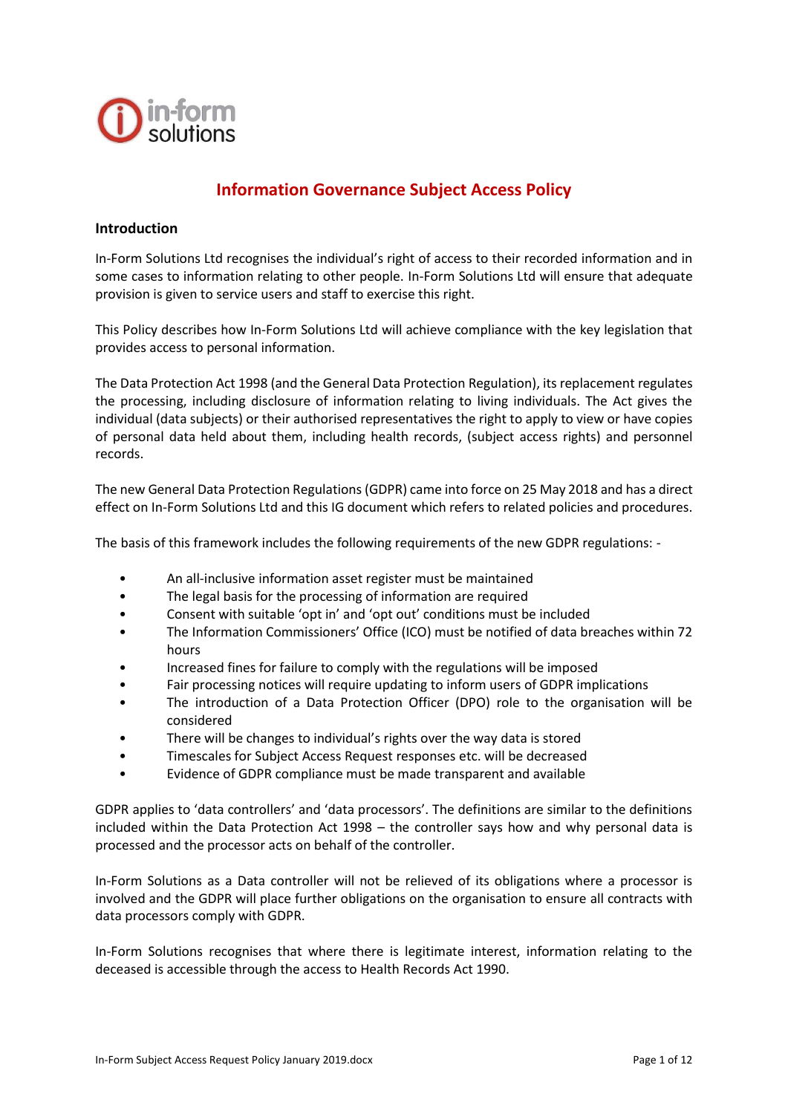

# **Information Governance Subject Access Policy**

### **Introduction**

In-Form Solutions Ltd recognises the individual's right of access to their recorded information and in some cases to information relating to other people. In-Form Solutions Ltd will ensure that adequate provision is given to service users and staff to exercise this right.

This Policy describes how In-Form Solutions Ltd will achieve compliance with the key legislation that provides access to personal information.

The Data Protection Act 1998 (and the General Data Protection Regulation), its replacement regulates the processing, including disclosure of information relating to living individuals. The Act gives the individual (data subjects) or their authorised representatives the right to apply to view or have copies of personal data held about them, including health records, (subject access rights) and personnel records.

The new General Data Protection Regulations (GDPR) came into force on 25 May 2018 and has a direct effect on In-Form Solutions Ltd and this IG document which refers to related policies and procedures.

The basis of this framework includes the following requirements of the new GDPR regulations: -

- An all-inclusive information asset register must be maintained
- The legal basis for the processing of information are required
- Consent with suitable 'opt in' and 'opt out' conditions must be included
- The Information Commissioners' Office (ICO) must be notified of data breaches within 72 hours
- Increased fines for failure to comply with the regulations will be imposed
- Fair processing notices will require updating to inform users of GDPR implications
- The introduction of a Data Protection Officer (DPO) role to the organisation will be considered
- There will be changes to individual's rights over the way data is stored
- Timescales for Subject Access Request responses etc. will be decreased
- Evidence of GDPR compliance must be made transparent and available

GDPR applies to 'data controllers' and 'data processors'. The definitions are similar to the definitions included within the Data Protection Act 1998 – the controller says how and why personal data is processed and the processor acts on behalf of the controller.

In-Form Solutions as a Data controller will not be relieved of its obligations where a processor is involved and the GDPR will place further obligations on the organisation to ensure all contracts with data processors comply with GDPR.

In-Form Solutions recognises that where there is legitimate interest, information relating to the deceased is accessible through the access to Health Records Act 1990.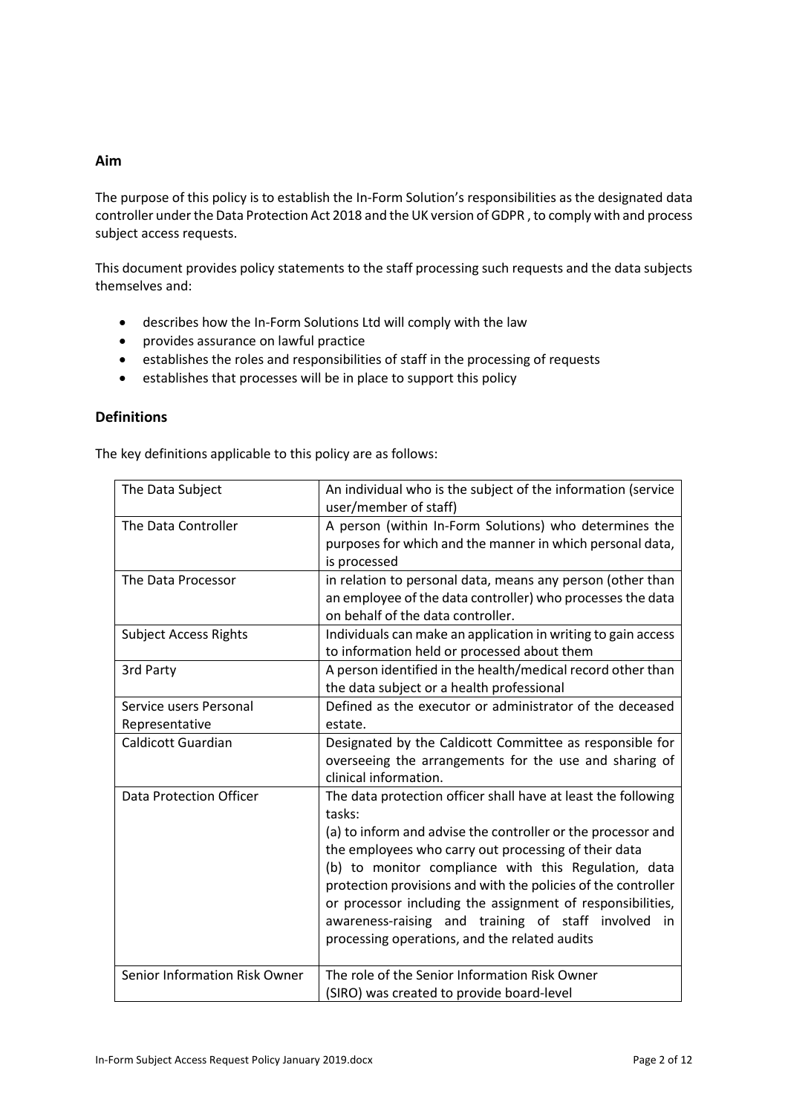## **Aim**

The purpose of this policy is to establish the In-Form Solution's responsibilities as the designated data controller under the Data Protection Act 2018 and the UK version of GDPR , to comply with and process subject access requests.

This document provides policy statements to the staff processing such requests and the data subjects themselves and:

- describes how the In-Form Solutions Ltd will comply with the law
- provides assurance on lawful practice
- establishes the roles and responsibilities of staff in the processing of requests
- establishes that processes will be in place to support this policy

### **Definitions**

The key definitions applicable to this policy are as follows:

| The Data Subject                         | An individual who is the subject of the information (service<br>user/member of staff)                                                                                                                                                                                                                                                                                                                                                                                                             |  |  |
|------------------------------------------|---------------------------------------------------------------------------------------------------------------------------------------------------------------------------------------------------------------------------------------------------------------------------------------------------------------------------------------------------------------------------------------------------------------------------------------------------------------------------------------------------|--|--|
| The Data Controller                      | A person (within In-Form Solutions) who determines the<br>purposes for which and the manner in which personal data,<br>is processed                                                                                                                                                                                                                                                                                                                                                               |  |  |
| The Data Processor                       | in relation to personal data, means any person (other than<br>an employee of the data controller) who processes the data<br>on behalf of the data controller.                                                                                                                                                                                                                                                                                                                                     |  |  |
| <b>Subject Access Rights</b>             | Individuals can make an application in writing to gain access<br>to information held or processed about them                                                                                                                                                                                                                                                                                                                                                                                      |  |  |
| 3rd Party                                | A person identified in the health/medical record other than<br>the data subject or a health professional                                                                                                                                                                                                                                                                                                                                                                                          |  |  |
| Service users Personal<br>Representative | Defined as the executor or administrator of the deceased<br>estate.                                                                                                                                                                                                                                                                                                                                                                                                                               |  |  |
| <b>Caldicott Guardian</b>                | Designated by the Caldicott Committee as responsible for<br>overseeing the arrangements for the use and sharing of<br>clinical information.                                                                                                                                                                                                                                                                                                                                                       |  |  |
| <b>Data Protection Officer</b>           | The data protection officer shall have at least the following<br>tasks:<br>(a) to inform and advise the controller or the processor and<br>the employees who carry out processing of their data<br>(b) to monitor compliance with this Regulation, data<br>protection provisions and with the policies of the controller<br>or processor including the assignment of responsibilities,<br>awareness-raising and training of staff involved<br>in<br>processing operations, and the related audits |  |  |
| Senior Information Risk Owner            | The role of the Senior Information Risk Owner<br>(SIRO) was created to provide board-level                                                                                                                                                                                                                                                                                                                                                                                                        |  |  |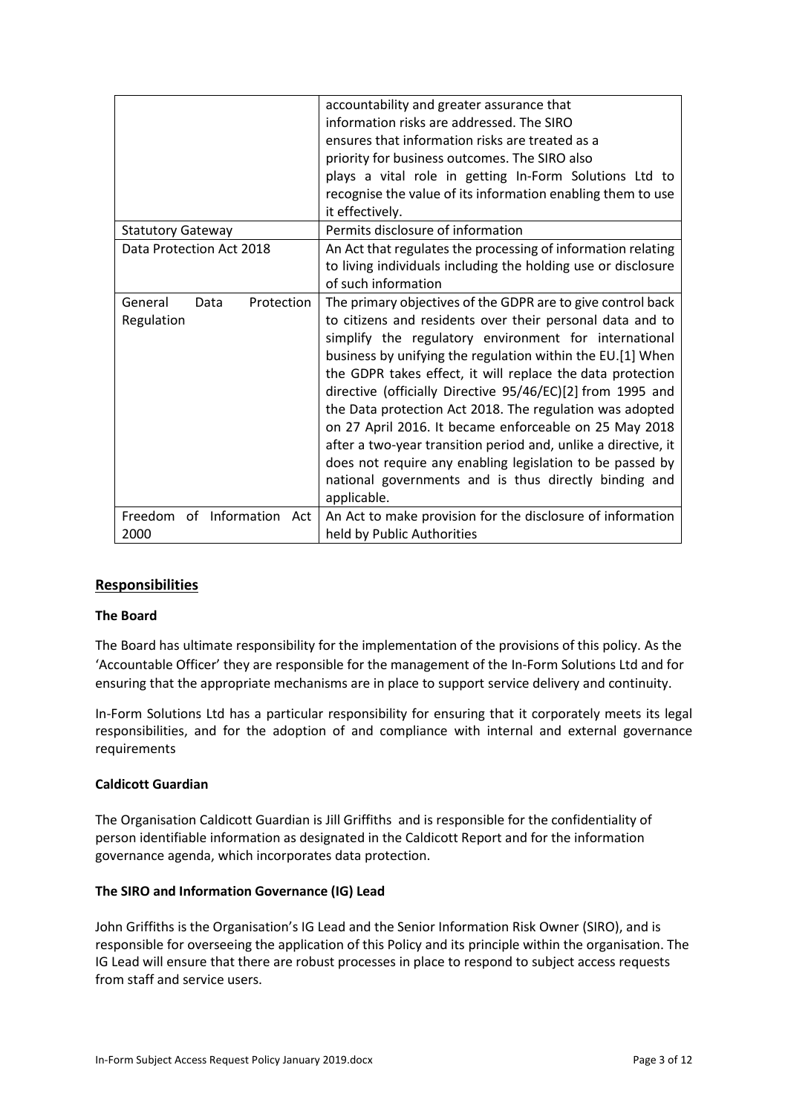|                                             | accountability and greater assurance that<br>information risks are addressed. The SIRO<br>ensures that information risks are treated as a<br>priority for business outcomes. The SIRO also<br>plays a vital role in getting In-Form Solutions Ltd to<br>recognise the value of its information enabling them to use<br>it effectively.                                                                                                                                                                                                                                                                                                                                                                   |
|---------------------------------------------|----------------------------------------------------------------------------------------------------------------------------------------------------------------------------------------------------------------------------------------------------------------------------------------------------------------------------------------------------------------------------------------------------------------------------------------------------------------------------------------------------------------------------------------------------------------------------------------------------------------------------------------------------------------------------------------------------------|
| <b>Statutory Gateway</b>                    | Permits disclosure of information                                                                                                                                                                                                                                                                                                                                                                                                                                                                                                                                                                                                                                                                        |
| Data Protection Act 2018                    | An Act that regulates the processing of information relating<br>to living individuals including the holding use or disclosure<br>of such information                                                                                                                                                                                                                                                                                                                                                                                                                                                                                                                                                     |
| General<br>Protection<br>Data<br>Regulation | The primary objectives of the GDPR are to give control back<br>to citizens and residents over their personal data and to<br>simplify the regulatory environment for international<br>business by unifying the regulation within the EU.[1] When<br>the GDPR takes effect, it will replace the data protection<br>directive (officially Directive 95/46/EC)[2] from 1995 and<br>the Data protection Act 2018. The regulation was adopted<br>on 27 April 2016. It became enforceable on 25 May 2018<br>after a two-year transition period and, unlike a directive, it<br>does not require any enabling legislation to be passed by<br>national governments and is thus directly binding and<br>applicable. |
| Freedom of Information Act<br>2000          | An Act to make provision for the disclosure of information<br>held by Public Authorities                                                                                                                                                                                                                                                                                                                                                                                                                                                                                                                                                                                                                 |

## **Responsibilities**

## **The Board**

The Board has ultimate responsibility for the implementation of the provisions of this policy. As the 'Accountable Officer' they are responsible for the management of the In-Form Solutions Ltd and for ensuring that the appropriate mechanisms are in place to support service delivery and continuity.

In-Form Solutions Ltd has a particular responsibility for ensuring that it corporately meets its legal responsibilities, and for the adoption of and compliance with internal and external governance requirements

### **Caldicott Guardian**

The Organisation Caldicott Guardian is Jill Griffiths and is responsible for the confidentiality of person identifiable information as designated in the Caldicott Report and for the information governance agenda, which incorporates data protection.

#### **The SIRO and Information Governance (IG) Lead**

John Griffiths is the Organisation's IG Lead and the Senior Information Risk Owner (SIRO), and is responsible for overseeing the application of this Policy and its principle within the organisation. The IG Lead will ensure that there are robust processes in place to respond to subject access requests from staff and service users.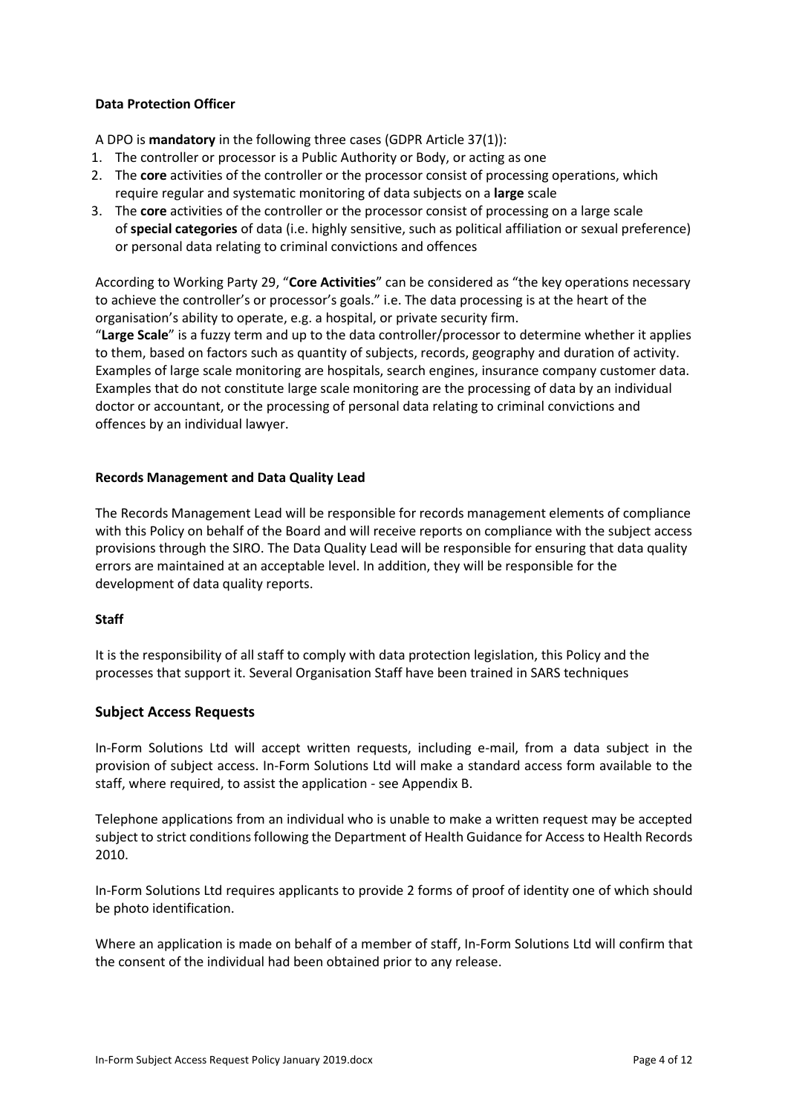### **Data Protection Officer**

A DPO is **mandatory** in the following three cases (GDPR Article 37(1)):

- 1. The controller or processor is a Public Authority or Body, or acting as one
- 2. The **core** activities of the controller or the processor consist of processing operations, which require regular and systematic monitoring of data subjects on a **large** scale
- 3. The **core** activities of the controller or the processor consist of processing on a large scale of **special categories** of data (i.e. highly sensitive, such as political affiliation or sexual preference) or personal data relating to criminal convictions and offences

According to Working Party 29, "**Core Activities**" can be considered as "the key operations necessary to achieve the controller's or processor's goals." i.e. The data processing is at the heart of the organisation's ability to operate, e.g. a hospital, or private security firm.

"**Large Scale**" is a fuzzy term and up to the data controller/processor to determine whether it applies to them, based on factors such as quantity of subjects, records, geography and duration of activity. Examples of large scale monitoring are hospitals, search engines, insurance company customer data. Examples that do not constitute large scale monitoring are the processing of data by an individual doctor or accountant, or the processing of personal data relating to criminal convictions and offences by an individual lawyer.

### **Records Management and Data Quality Lead**

The Records Management Lead will be responsible for records management elements of compliance with this Policy on behalf of the Board and will receive reports on compliance with the subject access provisions through the SIRO. The Data Quality Lead will be responsible for ensuring that data quality errors are maintained at an acceptable level. In addition, they will be responsible for the development of data quality reports.

### **Staff**

It is the responsibility of all staff to comply with data protection legislation, this Policy and the processes that support it. Several Organisation Staff have been trained in SARS techniques

### **Subject Access Requests**

In-Form Solutions Ltd will accept written requests, including e-mail, from a data subject in the provision of subject access. In-Form Solutions Ltd will make a standard access form available to the staff, where required, to assist the application - see Appendix B.

Telephone applications from an individual who is unable to make a written request may be accepted subject to strict conditions following the Department of Health Guidance for Access to Health Records 2010.

In-Form Solutions Ltd requires applicants to provide 2 forms of proof of identity one of which should be photo identification.

Where an application is made on behalf of a member of staff, In-Form Solutions Ltd will confirm that the consent of the individual had been obtained prior to any release.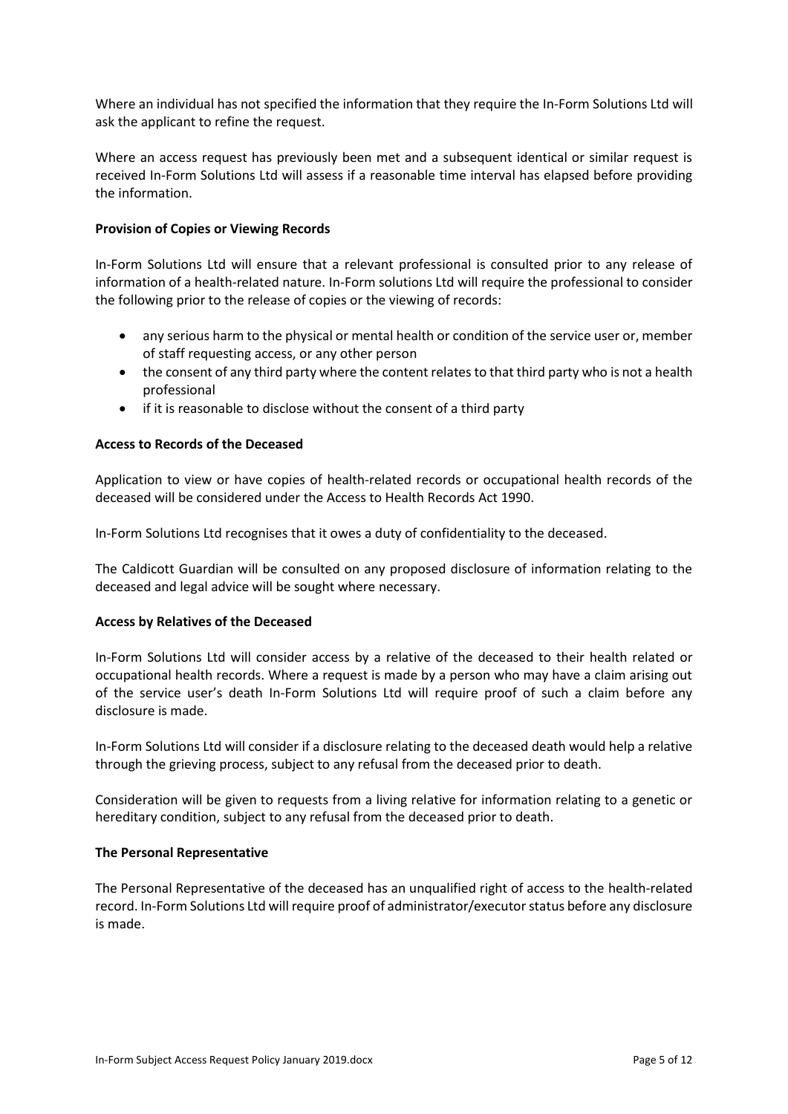Where an individual has not specified the information that they require the In-Form Solutions Ltd will ask the applicant to refine the request.

Where an access request has previously been met and a subsequent identical or similar request is received In-Form Solutions Ltd will assess if a reasonable time interval has elapsed before providing the information.

### **Provision of Copies or Viewing Records**

In-Form Solutions Ltd will ensure that a relevant professional is consulted prior to any release of information of a health-related nature. In-Form solutions Ltd will require the professional to consider the following prior to the release of copies or the viewing of records:

- any serious harm to the physical or mental health or condition of the service user or, member of staff requesting access, or any other person
- the consent of any third party where the content relates to that third party who is not a health professional
- if it is reasonable to disclose without the consent of a third party

### **Access to Records of the Deceased**

Application to view or have copies of health-related records or occupational health records of the deceased will be considered under the Access to Health Records Act 1990.

In-Form Solutions Ltd recognises that it owes a duty of confidentiality to the deceased.

The Caldicott Guardian will be consulted on any proposed disclosure of information relating to the deceased and legal advice will be sought where necessary.

### **Access by Relatives of the Deceased**

In-Form Solutions Ltd will consider access by a relative of the deceased to their health related or occupational health records. Where a request is made by a person who may have a claim arising out of the service user's death In-Form Solutions Ltd will require proof of such a claim before any disclosure is made.

In-Form Solutions Ltd will consider if a disclosure relating to the deceased death would help a relative through the grieving process, subject to any refusal from the deceased prior to death.

Consideration will be given to requests from a living relative for information relating to a genetic or hereditary condition, subject to any refusal from the deceased prior to death.

#### **The Personal Representative**

The Personal Representative of the deceased has an unqualified right of access to the health-related record. In-Form Solutions Ltd will require proof of administrator/executor status before any disclosure is made.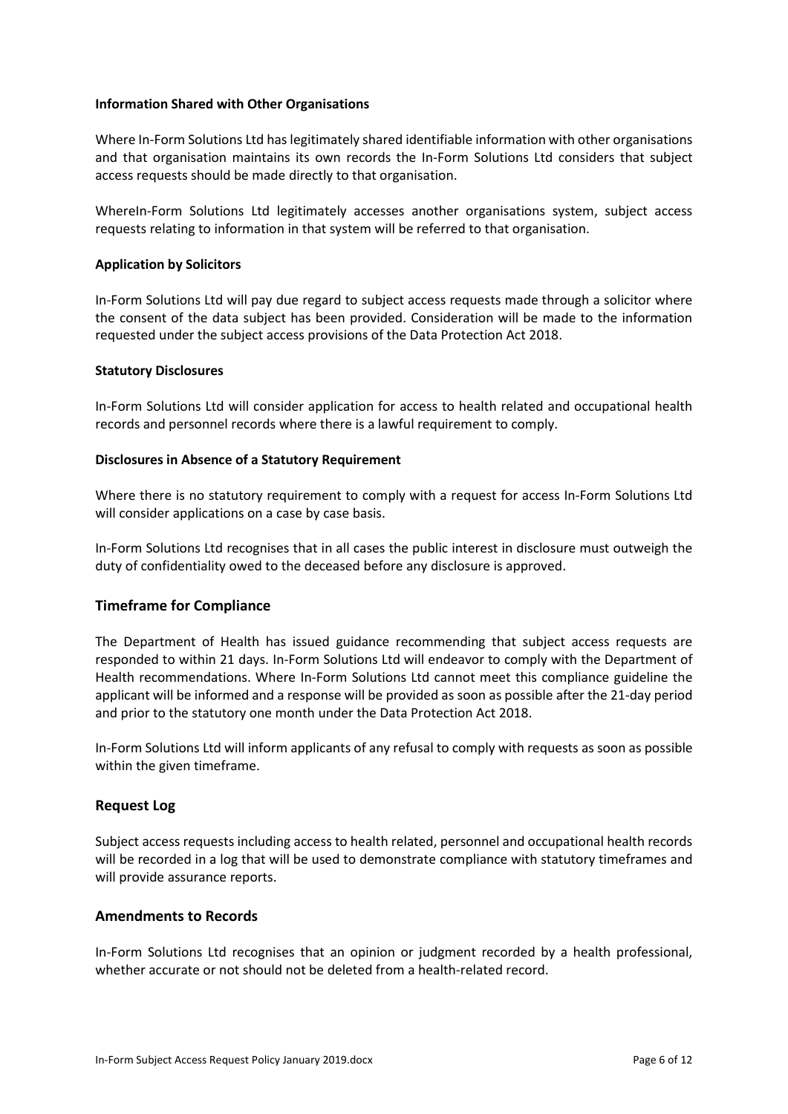#### **Information Shared with Other Organisations**

Where In-Form Solutions Ltd has legitimately shared identifiable information with other organisations and that organisation maintains its own records the In-Form Solutions Ltd considers that subject access requests should be made directly to that organisation.

WhereIn-Form Solutions Ltd legitimately accesses another organisations system, subject access requests relating to information in that system will be referred to that organisation.

#### **Application by Solicitors**

In-Form Solutions Ltd will pay due regard to subject access requests made through a solicitor where the consent of the data subject has been provided. Consideration will be made to the information requested under the subject access provisions of the Data Protection Act 2018.

#### **Statutory Disclosures**

In-Form Solutions Ltd will consider application for access to health related and occupational health records and personnel records where there is a lawful requirement to comply.

#### **Disclosures in Absence of a Statutory Requirement**

Where there is no statutory requirement to comply with a request for access In-Form Solutions Ltd will consider applications on a case by case basis.

In-Form Solutions Ltd recognises that in all cases the public interest in disclosure must outweigh the duty of confidentiality owed to the deceased before any disclosure is approved.

### **Timeframe for Compliance**

The Department of Health has issued guidance recommending that subject access requests are responded to within 21 days. In-Form Solutions Ltd will endeavor to comply with the Department of Health recommendations. Where In-Form Solutions Ltd cannot meet this compliance guideline the applicant will be informed and a response will be provided as soon as possible after the 21-day period and prior to the statutory one month under the Data Protection Act 2018.

In-Form Solutions Ltd will inform applicants of any refusal to comply with requests as soon as possible within the given timeframe.

### **Request Log**

Subject access requests including access to health related, personnel and occupational health records will be recorded in a log that will be used to demonstrate compliance with statutory timeframes and will provide assurance reports.

#### **Amendments to Records**

In-Form Solutions Ltd recognises that an opinion or judgment recorded by a health professional, whether accurate or not should not be deleted from a health-related record.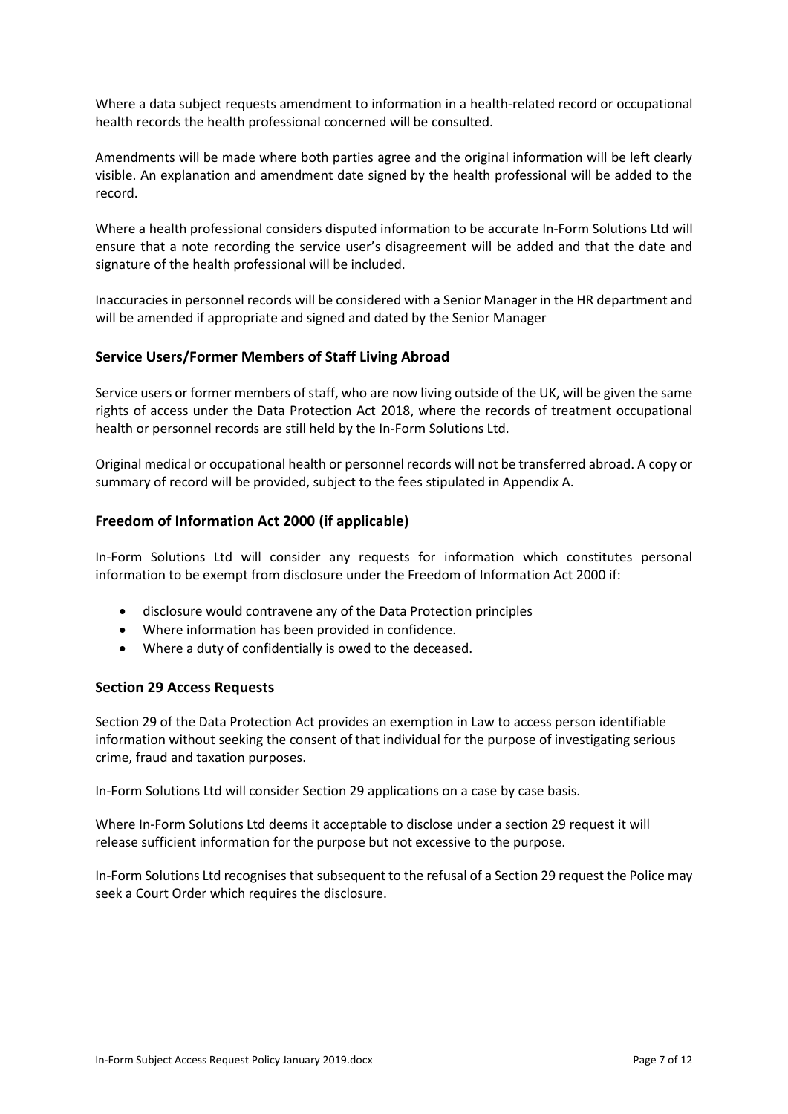Where a data subject requests amendment to information in a health-related record or occupational health records the health professional concerned will be consulted.

Amendments will be made where both parties agree and the original information will be left clearly visible. An explanation and amendment date signed by the health professional will be added to the record.

Where a health professional considers disputed information to be accurate In-Form Solutions Ltd will ensure that a note recording the service user's disagreement will be added and that the date and signature of the health professional will be included.

Inaccuracies in personnel records will be considered with a Senior Manager in the HR department and will be amended if appropriate and signed and dated by the Senior Manager

## **Service Users/Former Members of Staff Living Abroad**

Service users or former members of staff, who are now living outside of the UK, will be given the same rights of access under the Data Protection Act 2018, where the records of treatment occupational health or personnel records are still held by the In-Form Solutions Ltd.

Original medical or occupational health or personnel records will not be transferred abroad. A copy or summary of record will be provided, subject to the fees stipulated in Appendix A.

## **Freedom of Information Act 2000 (if applicable)**

In-Form Solutions Ltd will consider any requests for information which constitutes personal information to be exempt from disclosure under the Freedom of Information Act 2000 if:

- disclosure would contravene any of the Data Protection principles
- Where information has been provided in confidence.
- Where a duty of confidentially is owed to the deceased.

### **Section 29 Access Requests**

Section 29 of the Data Protection Act provides an exemption in Law to access person identifiable information without seeking the consent of that individual for the purpose of investigating serious crime, fraud and taxation purposes.

In-Form Solutions Ltd will consider Section 29 applications on a case by case basis.

Where In-Form Solutions Ltd deems it acceptable to disclose under a section 29 request it will release sufficient information for the purpose but not excessive to the purpose.

In-Form Solutions Ltd recognises that subsequent to the refusal of a Section 29 request the Police may seek a Court Order which requires the disclosure.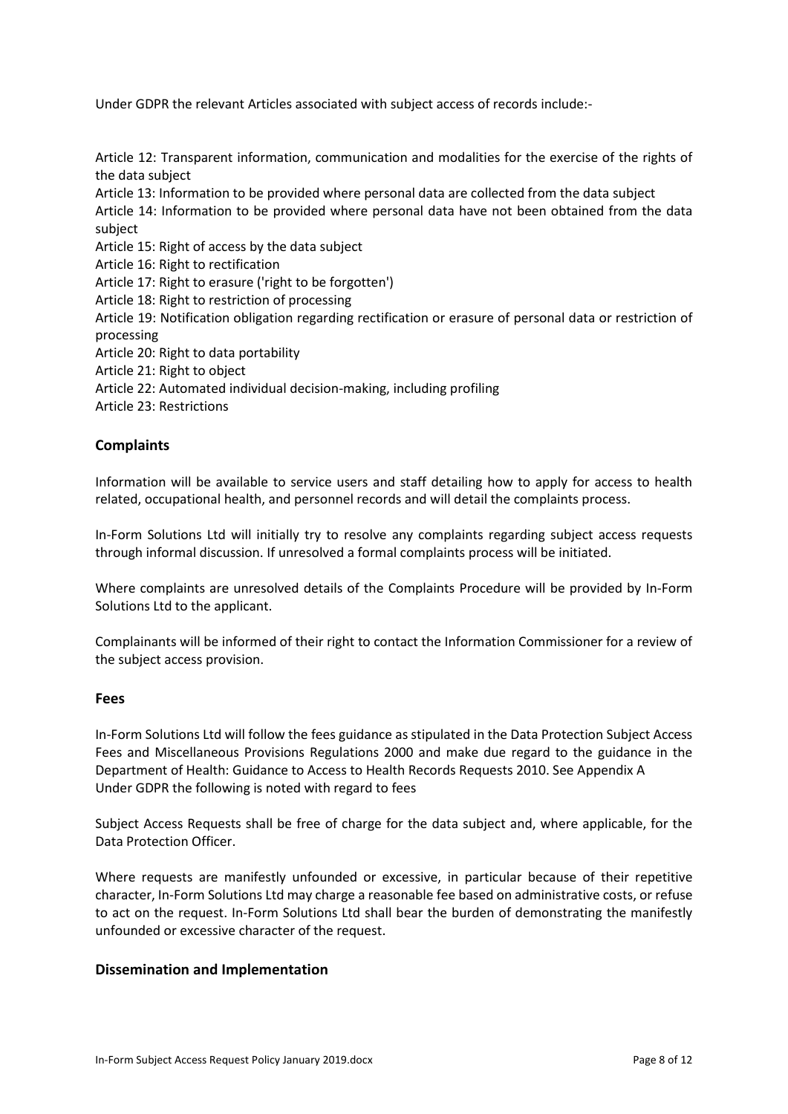Under GDPR the relevant Articles associated with subject access of records include:-

Article 12: Transparent information, communication and modalities for the exercise of the rights of the data subject Article 13: Information to be provided where personal data are collected from the data subject

Article 14: Information to be provided where personal data have not been obtained from the data subject

Article 15: Right of access by the data subject

Article 16: Right to rectification

Article 17: Right to erasure ('right to be forgotten')

Article 18: Right to restriction of processing

Article 19: Notification obligation regarding rectification or erasure of personal data or restriction of processing

Article 20: Right to data portability

Article 21: Right to object

Article 22: Automated individual decision-making, including profiling

Article 23: Restrictions

### **Complaints**

Information will be available to service users and staff detailing how to apply for access to health related, occupational health, and personnel records and will detail the complaints process.

In-Form Solutions Ltd will initially try to resolve any complaints regarding subject access requests through informal discussion. If unresolved a formal complaints process will be initiated.

Where complaints are unresolved details of the Complaints Procedure will be provided by In-Form Solutions Ltd to the applicant.

Complainants will be informed of their right to contact the Information Commissioner for a review of the subject access provision.

#### **Fees**

In-Form Solutions Ltd will follow the fees guidance as stipulated in the Data Protection Subject Access Fees and Miscellaneous Provisions Regulations 2000 and make due regard to the guidance in the Department of Health: Guidance to Access to Health Records Requests 2010. See Appendix A Under GDPR the following is noted with regard to fees

Subject Access Requests shall be free of charge for the data subject and, where applicable, for the Data Protection Officer.

Where requests are manifestly unfounded or excessive, in particular because of their repetitive character, In-Form Solutions Ltd may charge a reasonable fee based on administrative costs, or refuse to act on the request. In-Form Solutions Ltd shall bear the burden of demonstrating the manifestly unfounded or excessive character of the request.

### **Dissemination and Implementation**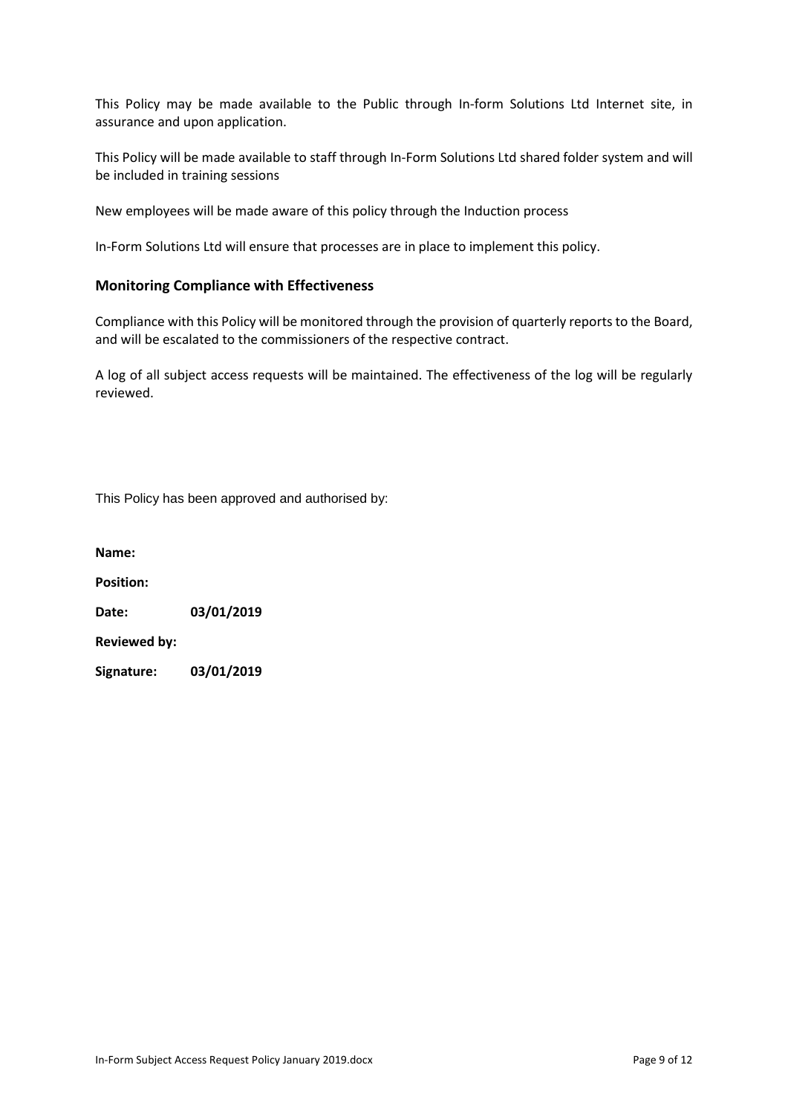This Policy may be made available to the Public through In-form Solutions Ltd Internet site, in assurance and upon application.

This Policy will be made available to staff through In-Form Solutions Ltd shared folder system and will be included in training sessions

New employees will be made aware of this policy through the Induction process

In-Form Solutions Ltd will ensure that processes are in place to implement this policy.

#### **Monitoring Compliance with Effectiveness**

Compliance with this Policy will be monitored through the provision of quarterly reports to the Board, and will be escalated to the commissioners of the respective contract.

A log of all subject access requests will be maintained. The effectiveness of the log will be regularly reviewed.

This Policy has been approved and authorised by:

**Name: Position: Date: 03/01/2019 Reviewed by: Signature: 03/01/2019**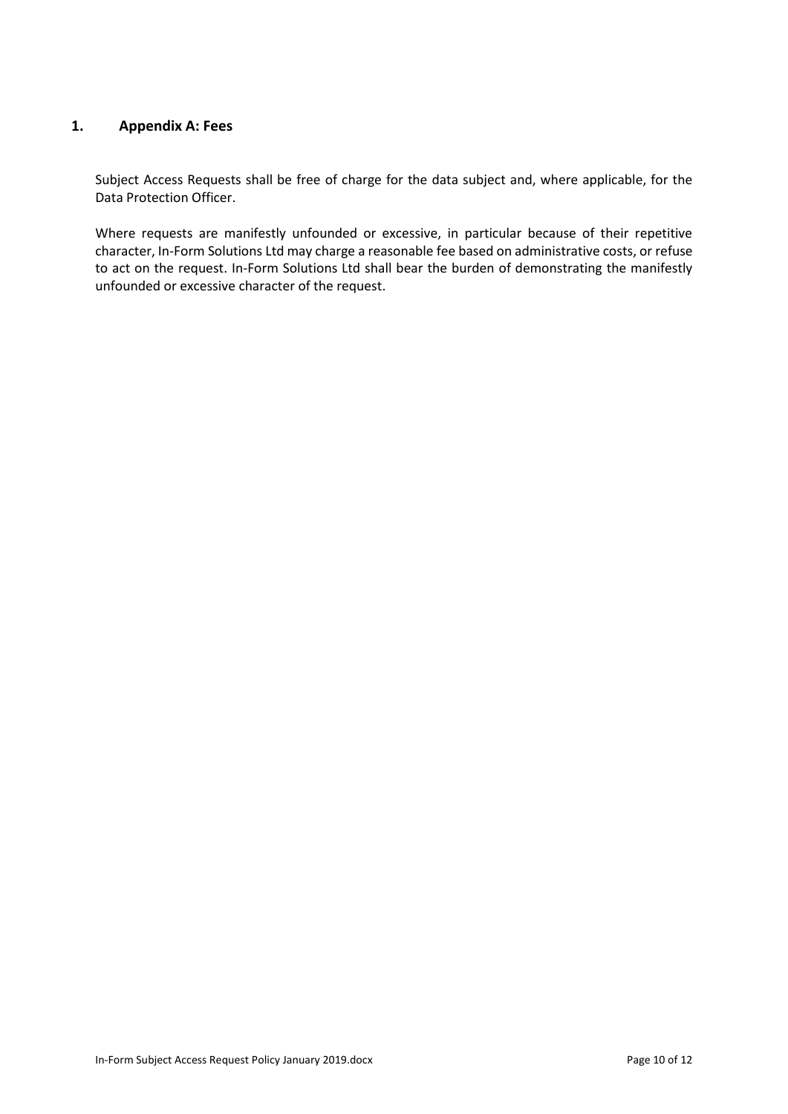## **1. Appendix A: Fees**

Subject Access Requests shall be free of charge for the data subject and, where applicable, for the Data Protection Officer.

Where requests are manifestly unfounded or excessive, in particular because of their repetitive character, In-Form Solutions Ltd may charge a reasonable fee based on administrative costs, or refuse to act on the request. In-Form Solutions Ltd shall bear the burden of demonstrating the manifestly unfounded or excessive character of the request.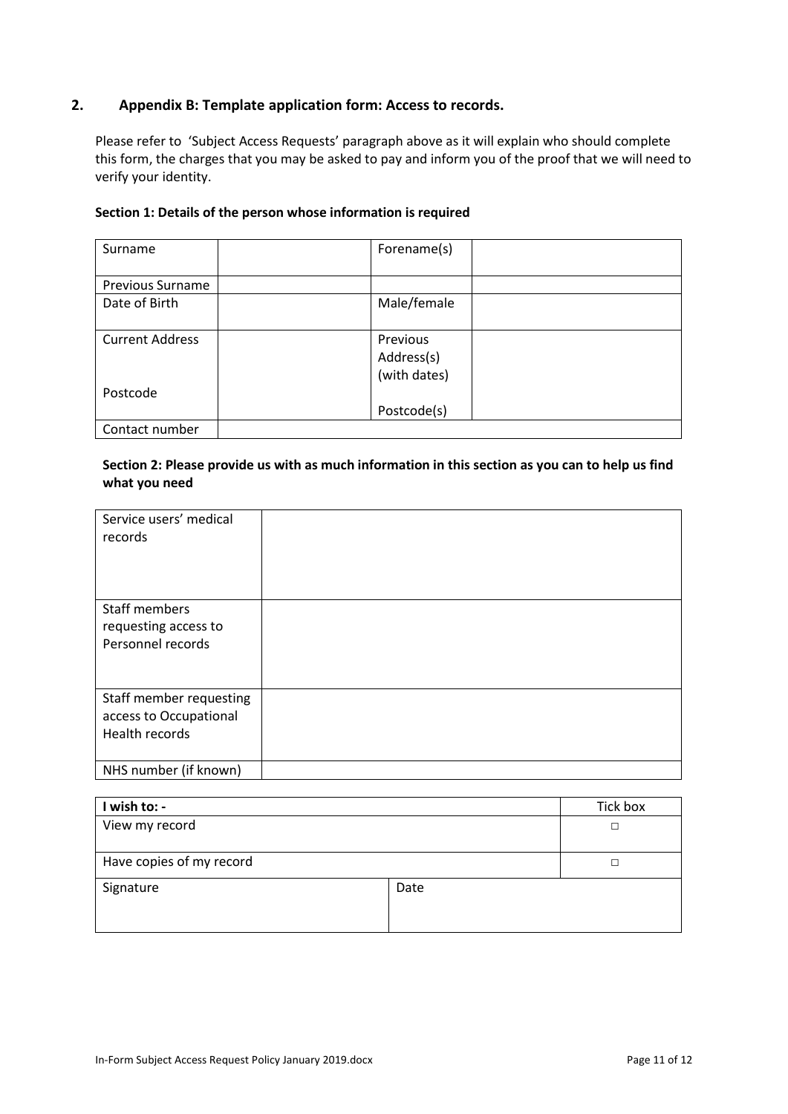## **2. Appendix B: Template application form: Access to records.**

Please refer to 'Subject Access Requests' paragraph above as it will explain who should complete this form, the charges that you may be asked to pay and inform you of the proof that we will need to verify your identity.

#### **Section 1: Details of the person whose information is required**

| Surname                 | Forename(s)  |
|-------------------------|--------------|
|                         |              |
| <b>Previous Surname</b> |              |
| Date of Birth           | Male/female  |
|                         |              |
| <b>Current Address</b>  | Previous     |
|                         | Address(s)   |
|                         | (with dates) |
| Postcode                |              |
|                         | Postcode(s)  |
| Contact number          |              |

## **Section 2: Please provide us with as much information in this section as you can to help us find what you need**

| Service users' medical<br>records                                   |  |
|---------------------------------------------------------------------|--|
| Staff members<br>requesting access to<br>Personnel records          |  |
| Staff member requesting<br>access to Occupational<br>Health records |  |
| NHS number (if known)                                               |  |

| I wish to: -             |      | Tick box |
|--------------------------|------|----------|
| View my record           |      | П        |
| Have copies of my record |      |          |
| Signature                | Date |          |